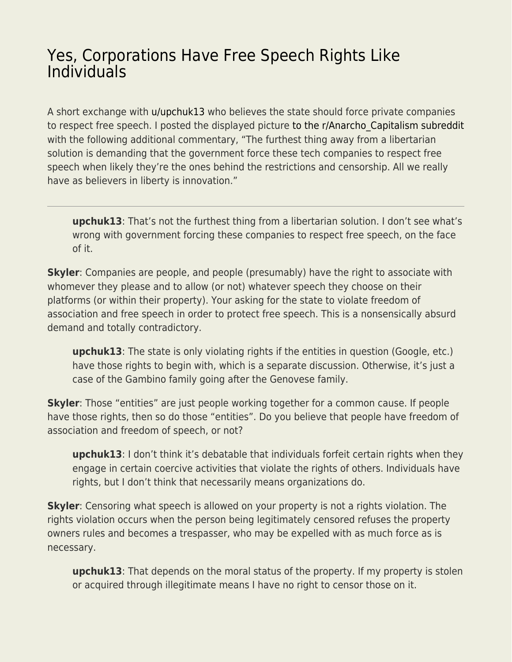## [Yes, Corporations Have Free Speech Rights Like](https://everything-voluntary.com/yes-corporations-have-free-speech-rights-like-individuals) [Individuals](https://everything-voluntary.com/yes-corporations-have-free-speech-rights-like-individuals)

A short exchange with [u/upchuk13](https://www.reddit.com/user/upchuk13/) who believes the state should force private companies to respect free speech. I posted the displayed picture to the r/Anarcho Capitalism subreddit with the following additional commentary, "The furthest thing away from a libertarian solution is demanding that the government force these tech companies to respect free speech when likely they're the ones behind the restrictions and censorship. All we really have as believers in liberty is innovation."

**upchuk13**: That's not the furthest thing from a libertarian solution. I don't see what's wrong with government forcing these companies to respect free speech, on the face of it.

**Skyler**: Companies are people, and people (presumably) have the right to associate with whomever they please and to allow (or not) whatever speech they choose on their platforms (or within their property). Your asking for the state to violate freedom of association and free speech in order to protect free speech. This is a nonsensically absurd demand and totally contradictory.

**upchuk13**: The state is only violating rights if the entities in question (Google, etc.) have those rights to begin with, which is a separate discussion. Otherwise, it's just a case of the Gambino family going after the Genovese family.

**Skyler**: Those "entities" are just people working together for a common cause. If people have those rights, then so do those "entities". Do you believe that people have freedom of association and freedom of speech, or not?

**upchuk13**: I don't think it's debatable that individuals forfeit certain rights when they engage in certain coercive activities that violate the rights of others. Individuals have rights, but I don't think that necessarily means organizations do.

**Skyler**: Censoring what speech is allowed on your property is not a rights violation. The rights violation occurs when the person being legitimately censored refuses the property owners rules and becomes a trespasser, who may be expelled with as much force as is necessary.

**upchuk13**: That depends on the moral status of the property. If my property is stolen or acquired through illegitimate means I have no right to censor those on it.